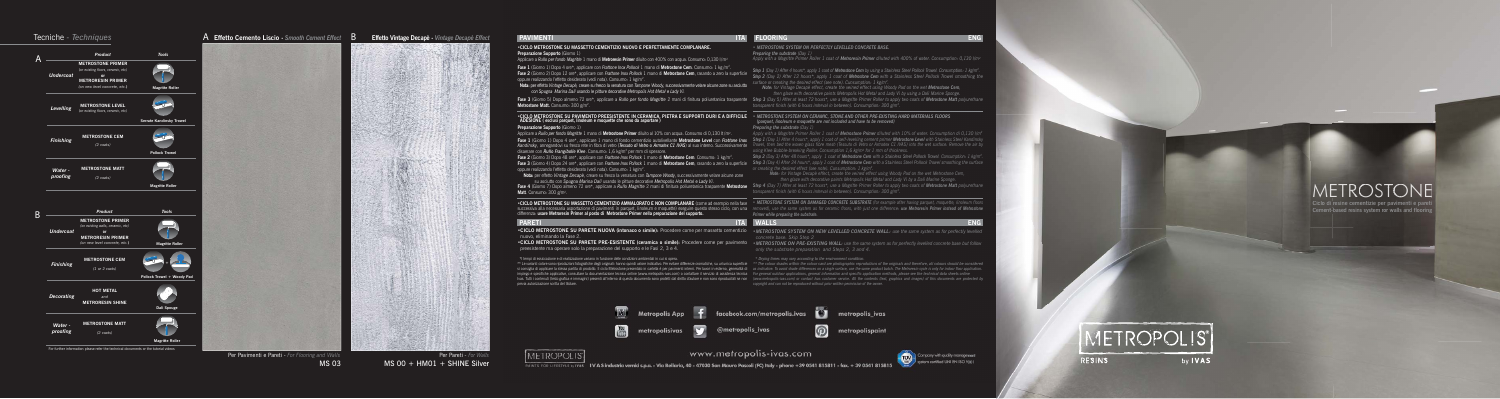## **TEANSE ENGINEERING ENGINEERING ENGINEERING ENGINEERING ENGINEERING ENGINEERING ENGINEERING**



## **PAVIMENTI**



 *\* Drying times may vary according to the environment condition.*





| METROPOLIS |            |
|------------|------------|
| RESINS     | <b>VAS</b> |

# $M \bar{F} \bar{T} \bar{R} \bar{O}$ STC

**Ciclo di resine cementizie per pavimenti e pare Cement-based resins system for walls and floor** 



*• METROSTONE SYSTEM ON PERFECTLY LEVELLED CONCRETE BASE.*

*Preparing the substrate (Day 1)*

*Apply with a Magritte Primer Roller 1 coat of Metroresin Primer diluted with 400% of water. Consumption: 0,130 l/m2*

*Step 2 (Day 2) After 12 hours\*, apply 1 coat of Metrostone Cem with a Stainless Steel Pollock Trowel smoothing the*

Fase 4 (Giorno 7) Dopo almeno 72 ore\*, applicare a Rullo Magritte 2 mani di finitura poliuretanica trasparente Metrostone Step 4 (Day 7) After at least 72 hours\*, use a Magritte Primer Roller to apply two coats of Metrosto *transparent finish (with 6 hours interval in between). Consumption: 300 g/m2.*

### **WALLS ENGINEERING TO A REPORT OF A REPORT OF A REPORT OF A REPORT OF A REPORT OF A REPORT OF A REPORT OF A RE**

*surface or creating the desired effect (see note). Cunsumption: 1 kg/m2. Note: for Vintage Decapè effect, create the veined effect using Woody Pad on the wet Metrostone Cem, then glaze with decorative paints Metropolis Hot Metal and Lady Vì by using a Dalì Marine Sponge.*

## *(parquet, linoleum e moquette are not included and have to be removed) Preparing the substrate (Day 1)*

\*\* Le varianti colore sono riproduzioni fotografiche degli originali: hanno quindi valore indicativo. Per evitare differenze cromatiche, su un'unica superficie \*\* The colour shades within the colour card are photographic r si consiglia di applicare la stessa partita di prodotto. Il ciclo Metrostone presentato in cartella è per pavimenti interni. Per lavori in esterno, generalità di as indicative. To avoid shade differences on a single surfac implego e specifiche applicative, consultare la documentazione ternica online (www.metropolis-iva.com) discussional exprizio diassistenza techica For general value of experably incomplexity and the method of property and t *copyright and can not be reproduced without prior written permission of the owner.*  previa autorizzazione scritta del titolare.



# www.metropolis-ivas.com

PAINTS FOR LIFESTYLE by IVAS 1VAS industria vernid s.p.a. - Via Bellaria, 40 - 47030 San Mauro Pascoli (FC) Italy - phone +39 0541 815811 - fax. + 39 0541 815815

*Apply with a Magritte Primer Roller 1 coat of Metrostone Primer diluted with 10% of water. Consumption di 0,130 l/m2*

Fase 1 (Giorno 1) Dopo 4 ore\*, applicare con *Frattone Inox Pollock* 1 mano di Metrostone Cem. Consumo: 1 kg/m<sup>2</sup>.<br>Fase 2 (Giorno 2) Dopo 12 ore\*, applicare con *Frattone Inox Pollock* 1 mano di Metrostone Cem, rasando a z oppure realizzando l'effetto desiderato (vedi nota). Consumo: 1 kg/m2.

- *using Klee Bubble-breaking Roller. Consumption 1,6 kg/m2 for 1 mm of thickness.*
- *Step 2 (Day 3) After 48 hours\*, apply 1 coat of Metrostone Cem with a Stainless Steel Pollock Trowel. Consumption: 1 kg/m2.* **Fase 3 (G**iorno 4) Dopo 24 ore\*, applicare con Frattone Inox Pollock 1 mano di Metrostone Cem, rasando a zero la superficie Step 3 (Day 4) After 24 hours\*, apply 1 coat of Metrostone Cem with a Stainless Steel Pollock Tro *or creating the desired effect (see note). Cunsumption: 1 kg/m2.*

Fase 1 (Giorno 1) Dopo 4 ore\*, applicare 1 mano di fondo cementizio autolivellante Metrostone Level con *Frattone Inox Step 1 (Day 1) After 4 hours\*, apply 1 coat of self-levelling cement primer Metrostone Level with Stain* disaerare con *Rullo Frangibolle Klee*. Consumo: 1,6 kg/m2 per mm di spessore.

> *Note: for Vintage Decapè effect, create the veined effect using Woody Pad on the wet Metrostone Cem, then glaze with decorative paints Metropolis Hot Metal and Lady Vì by a Dalì Marine Sponge.*

•CICLO METROSTONE SU PARETE NUOVA (intonaco o simile): Procedere come per massetto cementizio «METROSTONE SYSTEM ON NEW LEVELLED CONCRETE WALL: use the same system as for perfectly levelled  *concrete base. Skip Step 2* nuovo, eliminando la Fase 2.



 *only the substrate preparation and Steps 2, 3 and 4.*

### *• METROSTONE SYSTEM ON CERAMIC, STONE AND OTHER PRE-EXISTING HARD MATERIALS FLOORS* **•CICLO METROSTONE SU PAVIMENTO PREESISTENTE IN CERAMICA, PIETRA E SUPPORTI DURI E A DIFFICILE ADESIONE ( esclusi parquet, linoleum e moquette che sono da asportare )**

\*I tempi di essiccazione e di realizzazione variano in funzione delle condizioni ambientali in cui si opera.

# **•CICLO METROSTONE SU MASSETTO CEMENTIZIO NUOVO E PERFETTAMENTE COMPLANARE.**

## **Preparazione Supporto** (Giorno 1)

Applicare a *Rullo per fondo Magritte* 1 mano di **Metroresin Primer** diluito con 400% con acqua. Consumo: 0,130 l/m2

 **Nota:** per effetto *Vintage Decapè,* creare su fresco la venatura con *Tampone Woody,* successivamente velare alcune zone su asciutto  *con Spugna Marina Dalì* usando le pitture decorative *Metropolis Hot Metal* e *Lady Vì.*

Fase 3 (Giorno 5) Dopo almeno 72 ore\*, applicare a Rullo per fondo Magritte 2 mani di finitura poliuretanica trasparente Step 3 (Day 5) After at least 72 hours\*, use a Magritte Primer Roller to apply two coats of Metroston *transparent finish (with 6 hours interval in between). Consumption: 300 g/m2.* **Metrostone Matt.** Consumo: 300 g/m<sup>2</sup>.

*•METROSTONE ON PRE-EXISTING WALL: use the same system as for perfectly levelled concrete base but follow* **•CICLO METROSTONE SU PARETE PRE-ESISTENTE (ceramica o simile):** Procedere come per pavimento preesistente ma operare solo la preparazione del supporto e le Fasi 2, 3 e 4.

## **Preparazione Supporto** (Giorno 1)

**IMETROPOLIS** 

Applicare a *Rullo per fondo Magritte* 1 mano di **Metrostone Primer** diluito al 10% con acqua. Consumo di 0,130 lt /m2.

**Fase 2** (Giorno 3) Dopo 48 ore\*, applicare con *Frattone Inox Pollock* 1 mano di **Metrostone Cem**. Consumo: 1 kg/m2. oppure realizzando l'effetto desiderato (vedi nota). Consumo: 1 kg/m2.

 **Nota:** per effetto *Vintage Decapè*, creare su fresco la venatura con *Tampone Woody*, successivamente velare alcune zone su asciutto con *Spugna Marina Dalì* usando le pitture decorative *Metropolis Hot Metal* e *Lady Vì.*

**Matt**. Consumo: 300 g/m2.

•CICLO METROSTONE SU MASSETTO CEMENTIZIO AMMALORATO E NON COMPLANARE (come ad esempio nella fase \* METROSTONE SYSTEM ON DAMAGED CONCRETE SUBSTRATE (for example after having parquet, moquette, linoleum floors successiva alla necessaria asportazione di pavimenti in parquet, linoleum e moquette) eseguire questo stesso ciclo, con una removed), use the same system as for ceramic floors, with just one difference: use Metroresin Prim

## **PARETI ITAL WALLS**